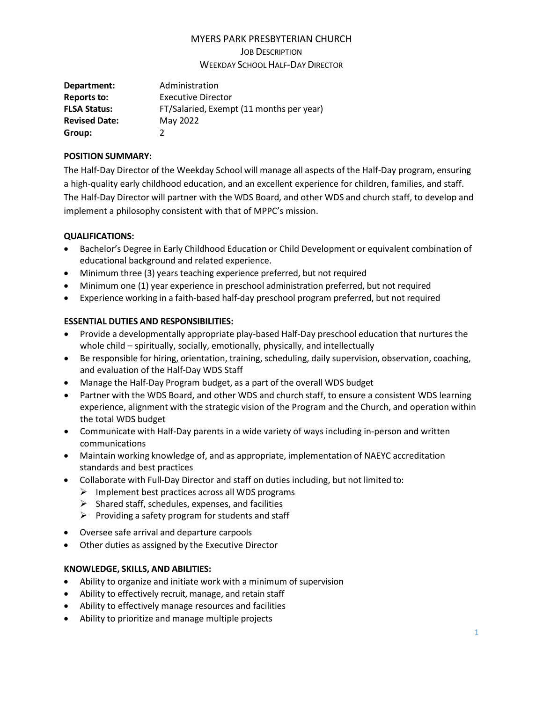# MYERS PARK PRESBYTERIAN CHURCH

JOB DESCRIPTION

WEEKDAY SCHOOLHALF-DAY DIRECTOR

| Department:          | Administration                           |
|----------------------|------------------------------------------|
| Reports to:          | <b>Executive Director</b>                |
| <b>FLSA Status:</b>  | FT/Salaried, Exempt (11 months per year) |
| <b>Revised Date:</b> | May 2022                                 |
| Group:               |                                          |

### **POSITION SUMMARY:**

The Half-Day Director of the Weekday School will manage all aspects of the Half-Day program, ensuring a high-quality early childhood education, and an excellent experience for children, families, and staff. The Half-Day Director will partner with the WDS Board, and other WDS and church staff, to develop and implement a philosophy consistent with that of MPPC's mission.

# **QUALIFICATIONS:**

- Bachelor's Degree in Early Childhood Education or Child Development or equivalent combination of educational background and related experience.
- Minimum three (3) years teaching experience preferred, but not required
- Minimum one (1) year experience in preschool administration preferred, but not required
- Experience working in a faith-based half-day preschool program preferred, but not required

# **ESSENTIAL DUTIES AND RESPONSIBILITIES:**

- Provide a developmentally appropriate play-based Half-Day preschool education that nurtures the whole child – spiritually, socially, emotionally, physically, and intellectually
- Be responsible for hiring, orientation, training, scheduling, daily supervision, observation, coaching, and evaluation of the Half-Day WDS Staff
- Manage the Half-Day Program budget, as a part of the overall WDS budget
- Partner with the WDS Board, and other WDS and church staff, to ensure a consistent WDS learning experience, alignment with the strategic vision of the Program and the Church, and operation within the total WDS budget
- Communicate with Half-Day parents in a wide variety of ways including in-person and written communications
- Maintain working knowledge of, and as appropriate, implementation of NAEYC accreditation standards and best practices
- Collaborate with Full-Day Director and staff on duties including, but not limited to:
	- $\triangleright$  Implement best practices across all WDS programs
	- $\triangleright$  Shared staff, schedules, expenses, and facilities
	- $\triangleright$  Providing a safety program for students and staff
- Oversee safe arrival and departure carpools
- Other duties as assigned by the Executive Director

# **KNOWLEDGE, SKILLS, AND ABILITIES:**

- Ability to organize and initiate work with a minimum of supervision
- Ability to effectively recruit, manage, and retain staff
- Ability to effectively manage resources and facilities
- Ability to prioritize and manage multiple projects